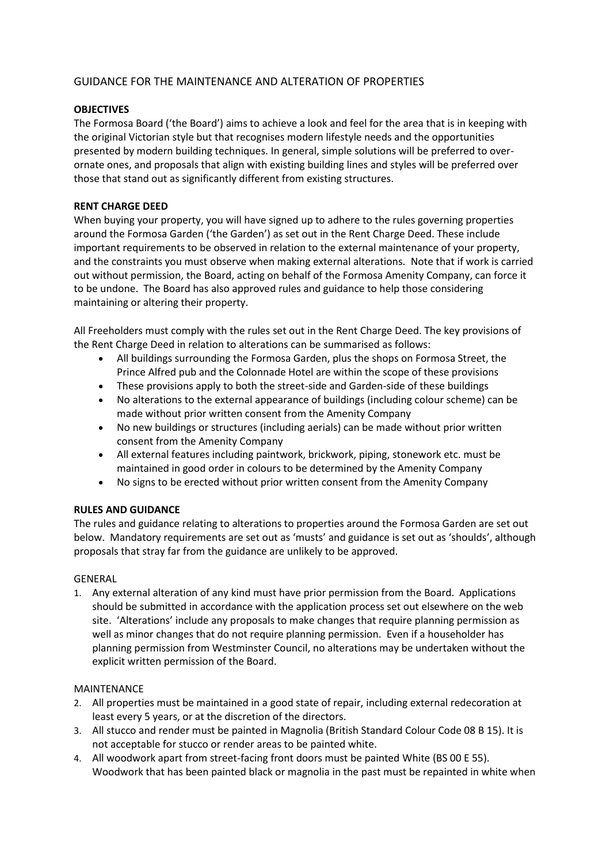# GUIDANCE FOR THE MAINTENANCE AND ALTERATION OF PROPERTIES

## **OBJECTIVES**

The Formosa Board ('the Board') aims to achieve a look and feel for the area that is in keeping with the original Victorian style but that recognises modern lifestyle needs and the opportunities presented by modern building techniques. In general, simple solutions will be preferred to overornate ones, and proposals that align with existing building lines and styles will be preferred over those that stand out as significantly different from existing structures.

### **RENT CHARGE DEED**

When buying your property, you will have signed up to adhere to the rules governing properties around the Formosa Garden ('the Garden') as set out in the Rent Charge Deed. These include important requirements to be observed in relation to the external maintenance of your property, and the constraints you must observe when making external alterations. Note that if work is carried out without permission, the Board, acting on behalf of the Formosa Amenity Company, can force it to be undone. The Board has also approved rules and guidance to help those considering maintaining or altering their property.

All Freeholders must comply with the rules set out in the Rent Charge Deed. The key provisions of the Rent Charge Deed in relation to alterations can be summarised as follows:

- All buildings surrounding the Formosa Garden, plus the shops on Formosa Street, the Prince Alfred pub and the Colonnade Hotel are within the scope of these provisions
- These provisions apply to both the street-side and Garden-side of these buildings
- No alterations to the external appearance of buildings (including colour scheme) can be made without prior written consent from the Amenity Company
- No new buildings or structures (including aerials) can be made without prior written consent from the Amenity Company
- All external features including paintwork, brickwork, piping, stonework etc. must be maintained in good order in colours to be determined by the Amenity Company
- No signs to be erected without prior written consent from the Amenity Company

### **RULES AND GUIDANCE**

The rules and guidance relating to alterations to properties around the Formosa Garden are set out below. Mandatory requirements are set out as 'musts' and guidance is set out as 'shoulds', although proposals that stray far from the guidance are unlikely to be approved.

#### GENERAL

1. Any external alteration of any kind must have prior permission from the Board. Applications should be submitted in accordance with the application process set out elsewhere on the web site. 'Alterations' include any proposals to make changes that require planning permission as well as minor changes that do not require planning permission. Even if a householder has planning permission from Westminster Council, no alterations may be undertaken without the explicit written permission of the Board.

#### MAINTENANCE

- 2. All properties must be maintained in a good state of repair, including external redecoration at least every 5 years, or at the discretion of the directors.
- 3. All stucco and render must be painted in Magnolia (British Standard Colour Code 08 B 15). It is not acceptable for stucco or render areas to be painted white.
- 4. All woodwork apart from street-facing front doors must be painted White (BS 00 E 55). Woodwork that has been painted black or magnolia in the past must be repainted in white when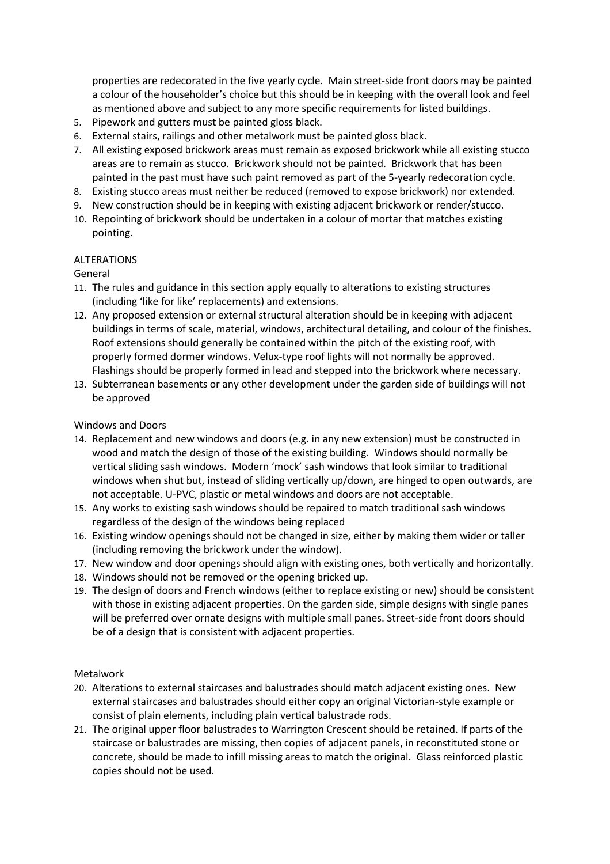properties are redecorated in the five yearly cycle. Main street-side front doors may be painted a colour of the householder's choice but this should be in keeping with the overall look and feel as mentioned above and subject to any more specific requirements for listed buildings.

- 5. Pipework and gutters must be painted gloss black.
- 6. External stairs, railings and other metalwork must be painted gloss black.
- 7. All existing exposed brickwork areas must remain as exposed brickwork while all existing stucco areas are to remain as stucco. Brickwork should not be painted. Brickwork that has been painted in the past must have such paint removed as part of the 5-yearly redecoration cycle.
- 8. Existing stucco areas must neither be reduced (removed to expose brickwork) nor extended.
- 9. New construction should be in keeping with existing adjacent brickwork or render/stucco.
- 10. Repointing of brickwork should be undertaken in a colour of mortar that matches existing pointing.

#### ALTERATIONS

#### General

- 11. The rules and guidance in this section apply equally to alterations to existing structures (including 'like for like' replacements) and extensions.
- 12. Any proposed extension or external structural alteration should be in keeping with adjacent buildings in terms of scale, material, windows, architectural detailing, and colour of the finishes. Roof extensions should generally be contained within the pitch of the existing roof, with properly formed dormer windows. Velux-type roof lights will not normally be approved. Flashings should be properly formed in lead and stepped into the brickwork where necessary.
- 13. Subterranean basements or any other development under the garden side of buildings will not be approved

#### Windows and Doors

- 14. Replacement and new windows and doors (e.g. in any new extension) must be constructed in wood and match the design of those of the existing building. Windows should normally be vertical sliding sash windows. Modern 'mock' sash windows that look similar to traditional windows when shut but, instead of sliding vertically up/down, are hinged to open outwards, are not acceptable. U-PVC, plastic or metal windows and doors are not acceptable.
- 15. Any works to existing sash windows should be repaired to match traditional sash windows regardless of the design of the windows being replaced
- 16. Existing window openings should not be changed in size, either by making them wider or taller (including removing the brickwork under the window).
- 17. New window and door openings should align with existing ones, both vertically and horizontally.
- 18. Windows should not be removed or the opening bricked up.
- 19. The design of doors and French windows (either to replace existing or new) should be consistent with those in existing adjacent properties. On the garden side, simple designs with single panes will be preferred over ornate designs with multiple small panes. Street-side front doors should be of a design that is consistent with adjacent properties.

#### Metalwork

- 20. Alterations to external staircases and balustrades should match adjacent existing ones. New external staircases and balustrades should either copy an original Victorian-style example or consist of plain elements, including plain vertical balustrade rods.
- 21. The original upper floor balustrades to Warrington Crescent should be retained. If parts of the staircase or balustrades are missing, then copies of adjacent panels, in reconstituted stone or concrete, should be made to infill missing areas to match the original. Glass reinforced plastic copies should not be used.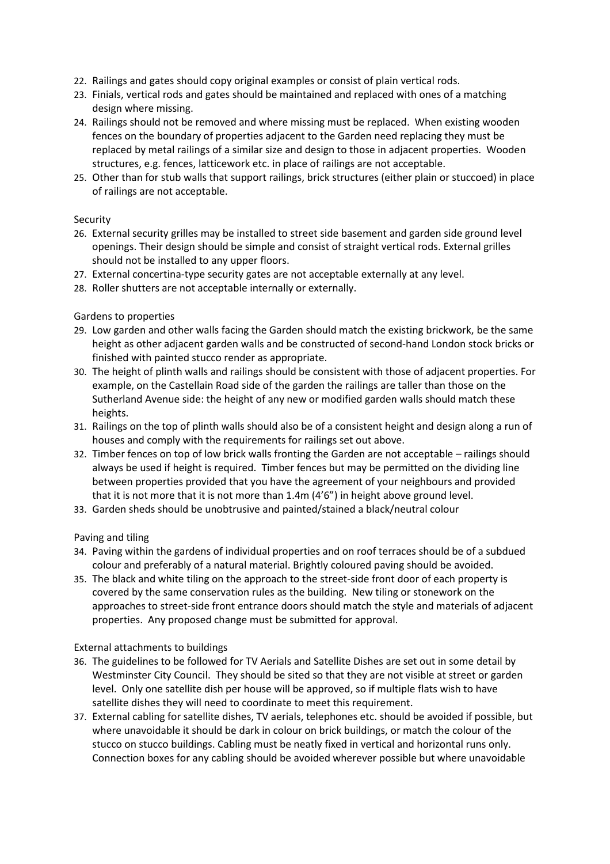- 22. Railings and gates should copy original examples or consist of plain vertical rods.
- 23. Finials, vertical rods and gates should be maintained and replaced with ones of a matching design where missing.
- 24. Railings should not be removed and where missing must be replaced. When existing wooden fences on the boundary of properties adjacent to the Garden need replacing they must be replaced by metal railings of a similar size and design to those in adjacent properties. Wooden structures, e.g. fences, latticework etc. in place of railings are not acceptable.
- 25. Other than for stub walls that support railings, brick structures (either plain or stuccoed) in place of railings are not acceptable.

## Security

- 26. External security grilles may be installed to street side basement and garden side ground level openings. Their design should be simple and consist of straight vertical rods. External grilles should not be installed to any upper floors.
- 27. External concertina-type security gates are not acceptable externally at any level.
- 28. Roller shutters are not acceptable internally or externally.

## Gardens to properties

- 29. Low garden and other walls facing the Garden should match the existing brickwork, be the same height as other adjacent garden walls and be constructed of second-hand London stock bricks or finished with painted stucco render as appropriate.
- 30. The height of plinth walls and railings should be consistent with those of adjacent properties. For example, on the Castellain Road side of the garden the railings are taller than those on the Sutherland Avenue side: the height of any new or modified garden walls should match these heights.
- 31. Railings on the top of plinth walls should also be of a consistent height and design along a run of houses and comply with the requirements for railings set out above.
- 32. Timber fences on top of low brick walls fronting the Garden are not acceptable railings should always be used if height is required. Timber fences but may be permitted on the dividing line between properties provided that you have the agreement of your neighbours and provided that it is not more that it is not more than 1.4m (4'6") in height above ground level.
- 33. Garden sheds should be unobtrusive and painted/stained a black/neutral colour

Paving and tiling

- 34. Paving within the gardens of individual properties and on roof terraces should be of a subdued colour and preferably of a natural material. Brightly coloured paving should be avoided.
- 35. The black and white tiling on the approach to the street-side front door of each property is covered by the same conservation rules as the building. New tiling or stonework on the approaches to street-side front entrance doors should match the style and materials of adjacent properties. Any proposed change must be submitted for approval.

#### External attachments to buildings

- 36. The guidelines to be followed for TV Aerials and Satellite Dishes are set out in some detail by Westminster City Council. They should be sited so that they are not visible at street or garden level. Only one satellite dish per house will be approved, so if multiple flats wish to have satellite dishes they will need to coordinate to meet this requirement.
- 37. External cabling for satellite dishes, TV aerials, telephones etc. should be avoided if possible, but where unavoidable it should be dark in colour on brick buildings, or match the colour of the stucco on stucco buildings. Cabling must be neatly fixed in vertical and horizontal runs only. Connection boxes for any cabling should be avoided wherever possible but where unavoidable